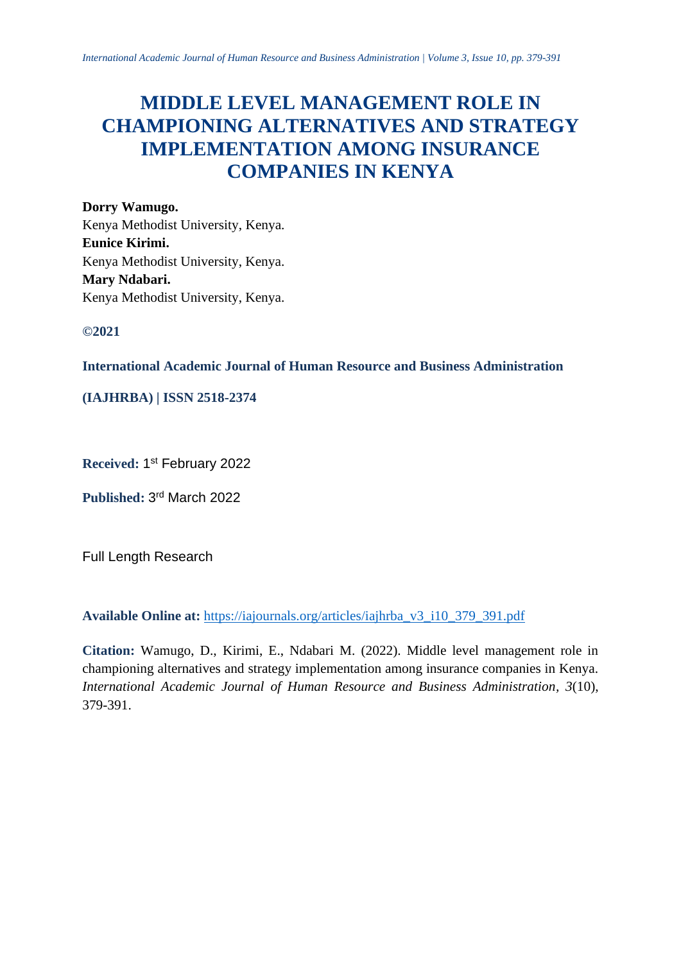# **MIDDLE LEVEL MANAGEMENT ROLE IN CHAMPIONING ALTERNATIVES AND STRATEGY IMPLEMENTATION AMONG INSURANCE COMPANIES IN KENYA**

**Dorry Wamugo.** Kenya Methodist University, Kenya. **Eunice Kirimi.** Kenya Methodist University, Kenya. **Mary Ndabari.** Kenya Methodist University, Kenya.

**©2021**

**International Academic Journal of Human Resource and Business Administration**

# **(IAJHRBA) | ISSN 2518-2374**

**Received:** 1 st February 2022

**Published:** 3 rd March 2022

Full Length Research

**Available Online at:** [https://iajournals.org/articles/iajhrba\\_v3\\_i10\\_379\\_391.pdf](https://iajournals.org/articles/iajhrba_v3_i10_379_391.pdf)

**Citation:** Wamugo, D., Kirimi, E., Ndabari M. (2022). Middle level management role in championing alternatives and strategy implementation among insurance companies in Kenya. *International Academic Journal of Human Resource and Business Administration, 3*(10), 379-391.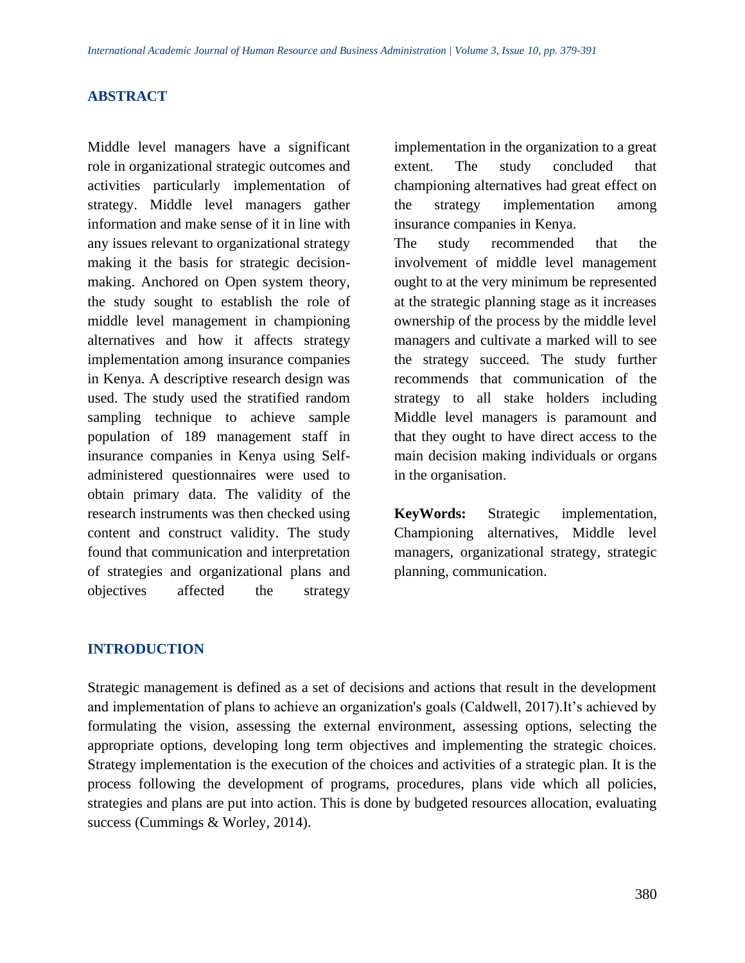#### **ABSTRACT**

Middle level managers have a significant role in organizational strategic outcomes and activities particularly implementation of strategy. Middle level managers gather information and make sense of it in line with any issues relevant to organizational strategy making it the basis for strategic decisionmaking. Anchored on Open system theory, the study sought to establish the role of middle level management in championing alternatives and how it affects strategy implementation among insurance companies in Kenya. A descriptive research design was used. The study used the stratified random sampling technique to achieve sample population of 189 management staff in insurance companies in Kenya using Selfadministered questionnaires were used to obtain primary data. The validity of the research instruments was then checked using content and construct validity. The study found that communication and interpretation of strategies and organizational plans and objectives affected the strategy

implementation in the organization to a great extent. The study concluded that championing alternatives had great effect on the strategy implementation among insurance companies in Kenya.

The study recommended that the involvement of middle level management ought to at the very minimum be represented at the strategic planning stage as it increases ownership of the process by the middle level managers and cultivate a marked will to see the strategy succeed. The study further recommends that communication of the strategy to all stake holders including Middle level managers is paramount and that they ought to have direct access to the main decision making individuals or organs in the organisation.

**KeyWords:** Strategic implementation, Championing alternatives, Middle level managers, organizational strategy, strategic planning, communication.

#### **INTRODUCTION**

Strategic management is defined as a set of decisions and actions that result in the development and implementation of plans to achieve an organization's goals (Caldwell, 2017).It's achieved by formulating the vision, assessing the external environment, assessing options, selecting the appropriate options, developing long term objectives and implementing the strategic choices. Strategy implementation is the execution of the choices and activities of a strategic plan. It is the process following the development of programs, procedures, plans vide which all policies, strategies and plans are put into action. This is done by budgeted resources allocation, evaluating success (Cummings & Worley, 2014).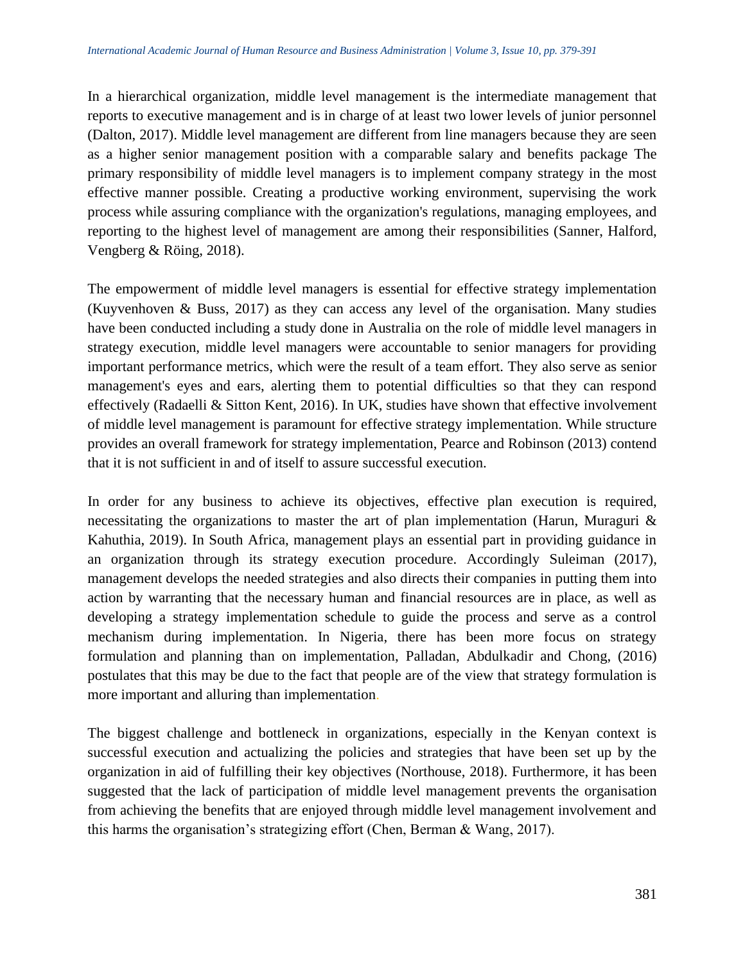In a hierarchical organization, middle level management is the intermediate management that reports to executive management and is in charge of at least two lower levels of junior personnel (Dalton, 2017). Middle level management are different from line managers because they are seen as a higher senior management position with a comparable salary and benefits package The primary responsibility of middle level managers is to implement company strategy in the most effective manner possible. Creating a productive working environment, supervising the work process while assuring compliance with the organization's regulations, managing employees, and reporting to the highest level of management are among their responsibilities (Sanner, Halford, Vengberg & Röing, 2018).

The empowerment of middle level managers is essential for effective strategy implementation (Kuyvenhoven & Buss, 2017) as they can access any level of the organisation. Many studies have been conducted including a study done in Australia on the role of middle level managers in strategy execution, middle level managers were accountable to senior managers for providing important performance metrics, which were the result of a team effort. They also serve as senior management's eyes and ears, alerting them to potential difficulties so that they can respond effectively (Radaelli  $\&$  Sitton Kent, 2016). In UK, studies have shown that effective involvement of middle level management is paramount for effective strategy implementation. While structure provides an overall framework for strategy implementation, Pearce and Robinson (2013) contend that it is not sufficient in and of itself to assure successful execution.

In order for any business to achieve its objectives, effective plan execution is required, necessitating the organizations to master the art of plan implementation (Harun, Muraguri & Kahuthia, 2019). In South Africa, management plays an essential part in providing guidance in an organization through its strategy execution procedure. Accordingly Suleiman (2017), management develops the needed strategies and also directs their companies in putting them into action by warranting that the necessary human and financial resources are in place, as well as developing a strategy implementation schedule to guide the process and serve as a control mechanism during implementation. In Nigeria, there has been more focus on strategy formulation and planning than on implementation, Palladan, Abdulkadir and Chong, (2016) postulates that this may be due to the fact that people are of the view that strategy formulation is more important and alluring than implementation.

The biggest challenge and bottleneck in organizations, especially in the Kenyan context is successful execution and actualizing the policies and strategies that have been set up by the organization in aid of fulfilling their key objectives (Northouse, 2018). Furthermore, it has been suggested that the lack of participation of middle level management prevents the organisation from achieving the benefits that are enjoyed through middle level management involvement and this harms the organisation's strategizing effort (Chen, Berman & Wang, 2017).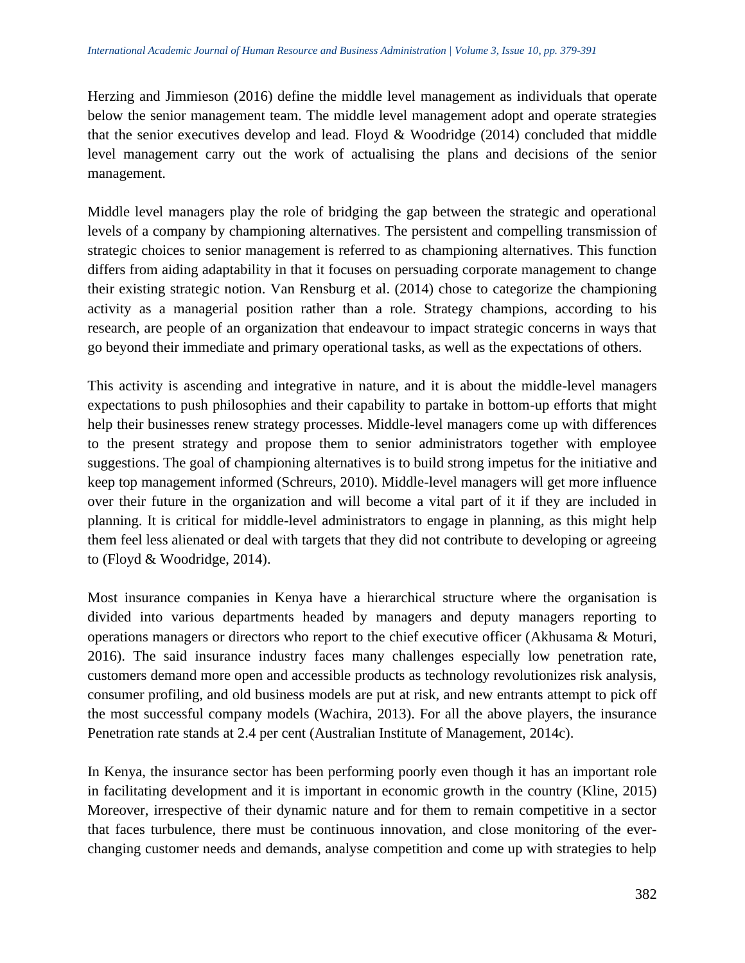Herzing and Jimmieson (2016) define the middle level management as individuals that operate below the senior management team. The middle level management adopt and operate strategies that the senior executives develop and lead. Floyd  $& Woodridge (2014)$  concluded that middle level management carry out the work of actualising the plans and decisions of the senior management.

Middle level managers play the role of bridging the gap between the strategic and operational levels of a company by championing alternatives. The persistent and compelling transmission of strategic choices to senior management is referred to as championing alternatives. This function differs from aiding adaptability in that it focuses on persuading corporate management to change their existing strategic notion. Van Rensburg et al. (2014) chose to categorize the championing activity as a managerial position rather than a role. Strategy champions, according to his research, are people of an organization that endeavour to impact strategic concerns in ways that go beyond their immediate and primary operational tasks, as well as the expectations of others.

This activity is ascending and integrative in nature, and it is about the middle-level managers expectations to push philosophies and their capability to partake in bottom-up efforts that might help their businesses renew strategy processes. Middle-level managers come up with differences to the present strategy and propose them to senior administrators together with employee suggestions. The goal of championing alternatives is to build strong impetus for the initiative and keep top management informed (Schreurs, 2010). Middle-level managers will get more influence over their future in the organization and will become a vital part of it if they are included in planning. It is critical for middle-level administrators to engage in planning, as this might help them feel less alienated or deal with targets that they did not contribute to developing or agreeing to (Floyd & Woodridge, 2014).

Most insurance companies in Kenya have a hierarchical structure where the organisation is divided into various departments headed by managers and deputy managers reporting to operations managers or directors who report to the chief executive officer (Akhusama & Moturi, 2016). The said insurance industry faces many challenges especially low penetration rate, customers demand more open and accessible products as technology revolutionizes risk analysis, consumer profiling, and old business models are put at risk, and new entrants attempt to pick off the most successful company models (Wachira, 2013). For all the above players, the insurance Penetration rate stands at 2.4 per cent (Australian Institute of Management, 2014c).

In Kenya, the insurance sector has been performing poorly even though it has an important role in facilitating development and it is important in economic growth in the country (Kline, 2015) Moreover, irrespective of their dynamic nature and for them to remain competitive in a sector that faces turbulence, there must be continuous innovation, and close monitoring of the everchanging customer needs and demands, analyse competition and come up with strategies to help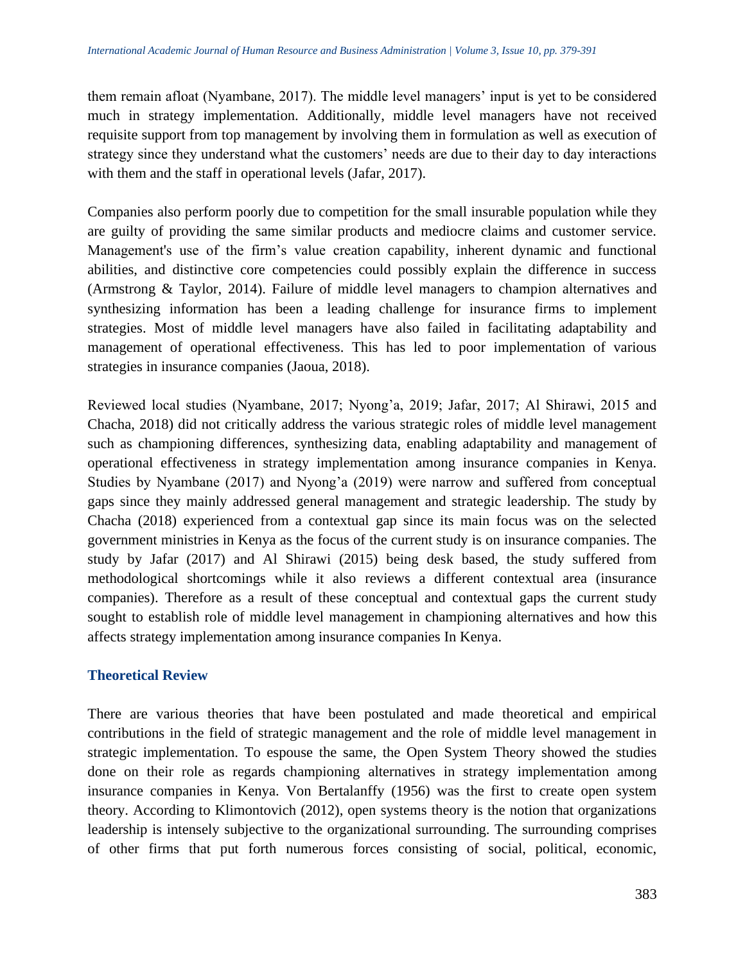them remain afloat (Nyambane, 2017). The middle level managers' input is yet to be considered much in strategy implementation. Additionally, middle level managers have not received requisite support from top management by involving them in formulation as well as execution of strategy since they understand what the customers' needs are due to their day to day interactions with them and the staff in operational levels (Jafar, 2017).

Companies also perform poorly due to competition for the small insurable population while they are guilty of providing the same similar products and mediocre claims and customer service. Management's use of the firm's value creation capability, inherent dynamic and functional abilities, and distinctive core competencies could possibly explain the difference in success (Armstrong & Taylor, 2014). Failure of middle level managers to champion alternatives and synthesizing information has been a leading challenge for insurance firms to implement strategies. Most of middle level managers have also failed in facilitating adaptability and management of operational effectiveness. This has led to poor implementation of various strategies in insurance companies (Jaoua, 2018).

Reviewed local studies (Nyambane, 2017; Nyong'a, 2019; Jafar, 2017; Al Shirawi, 2015 and Chacha, 2018) did not critically address the various strategic roles of middle level management such as championing differences, synthesizing data, enabling adaptability and management of operational effectiveness in strategy implementation among insurance companies in Kenya. Studies by Nyambane (2017) and Nyong'a (2019) were narrow and suffered from conceptual gaps since they mainly addressed general management and strategic leadership. The study by Chacha (2018) experienced from a contextual gap since its main focus was on the selected government ministries in Kenya as the focus of the current study is on insurance companies. The study by Jafar (2017) and Al Shirawi (2015) being desk based, the study suffered from methodological shortcomings while it also reviews a different contextual area (insurance companies). Therefore as a result of these conceptual and contextual gaps the current study sought to establish role of middle level management in championing alternatives and how this affects strategy implementation among insurance companies In Kenya.

# **Theoretical Review**

There are various theories that have been postulated and made theoretical and empirical contributions in the field of strategic management and the role of middle level management in strategic implementation. To espouse the same, the Open System Theory showed the studies done on their role as regards championing alternatives in strategy implementation among insurance companies in Kenya. Von Bertalanffy (1956) was the first to create open system theory. According to Klimontovich (2012), open systems theory is the notion that organizations leadership is intensely subjective to the organizational surrounding. The surrounding comprises of other firms that put forth numerous forces consisting of social, political, economic,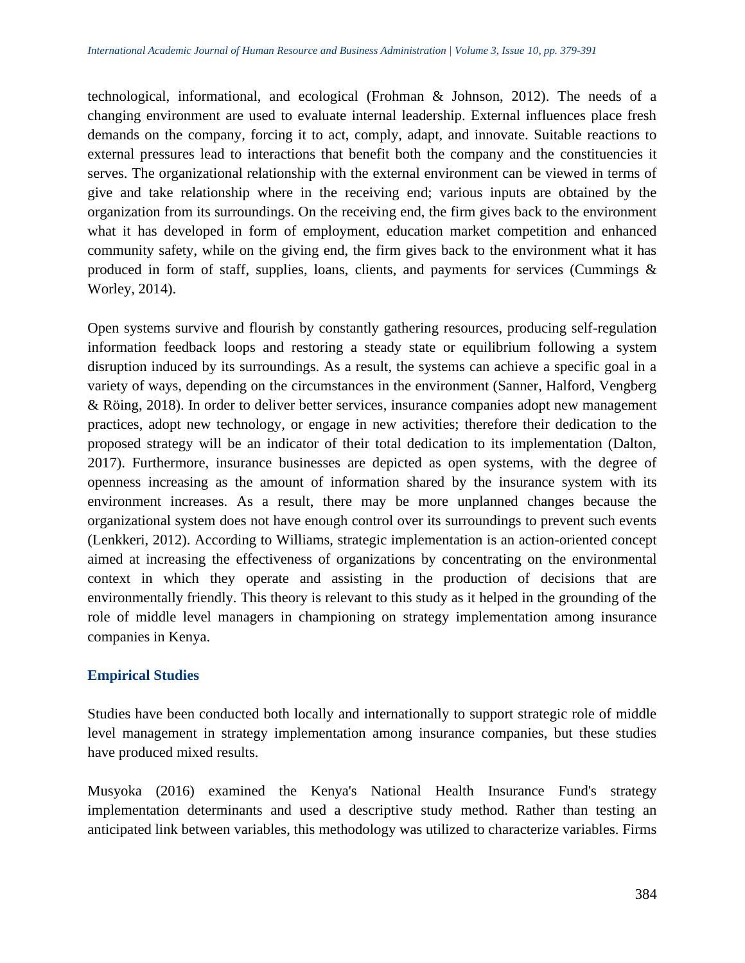technological, informational, and ecological (Frohman & Johnson, 2012). The needs of a changing environment are used to evaluate internal leadership. External influences place fresh demands on the company, forcing it to act, comply, adapt, and innovate. Suitable reactions to external pressures lead to interactions that benefit both the company and the constituencies it serves. The organizational relationship with the external environment can be viewed in terms of give and take relationship where in the receiving end; various inputs are obtained by the organization from its surroundings. On the receiving end, the firm gives back to the environment what it has developed in form of employment, education market competition and enhanced community safety, while on the giving end, the firm gives back to the environment what it has produced in form of staff, supplies, loans, clients, and payments for services (Cummings & Worley, 2014).

Open systems survive and flourish by constantly gathering resources, producing self-regulation information feedback loops and restoring a steady state or equilibrium following a system disruption induced by its surroundings. As a result, the systems can achieve a specific goal in a variety of ways, depending on the circumstances in the environment (Sanner, Halford, Vengberg & Röing, 2018). In order to deliver better services, insurance companies adopt new management practices, adopt new technology, or engage in new activities; therefore their dedication to the proposed strategy will be an indicator of their total dedication to its implementation (Dalton, 2017). Furthermore, insurance businesses are depicted as open systems, with the degree of openness increasing as the amount of information shared by the insurance system with its environment increases. As a result, there may be more unplanned changes because the organizational system does not have enough control over its surroundings to prevent such events (Lenkkeri, 2012). According to Williams, strategic implementation is an action-oriented concept aimed at increasing the effectiveness of organizations by concentrating on the environmental context in which they operate and assisting in the production of decisions that are environmentally friendly. This theory is relevant to this study as it helped in the grounding of the role of middle level managers in championing on strategy implementation among insurance companies in Kenya.

# **Empirical Studies**

Studies have been conducted both locally and internationally to support strategic role of middle level management in strategy implementation among insurance companies, but these studies have produced mixed results.

Musyoka (2016) examined the Kenya's National Health Insurance Fund's strategy implementation determinants and used a descriptive study method. Rather than testing an anticipated link between variables, this methodology was utilized to characterize variables. Firms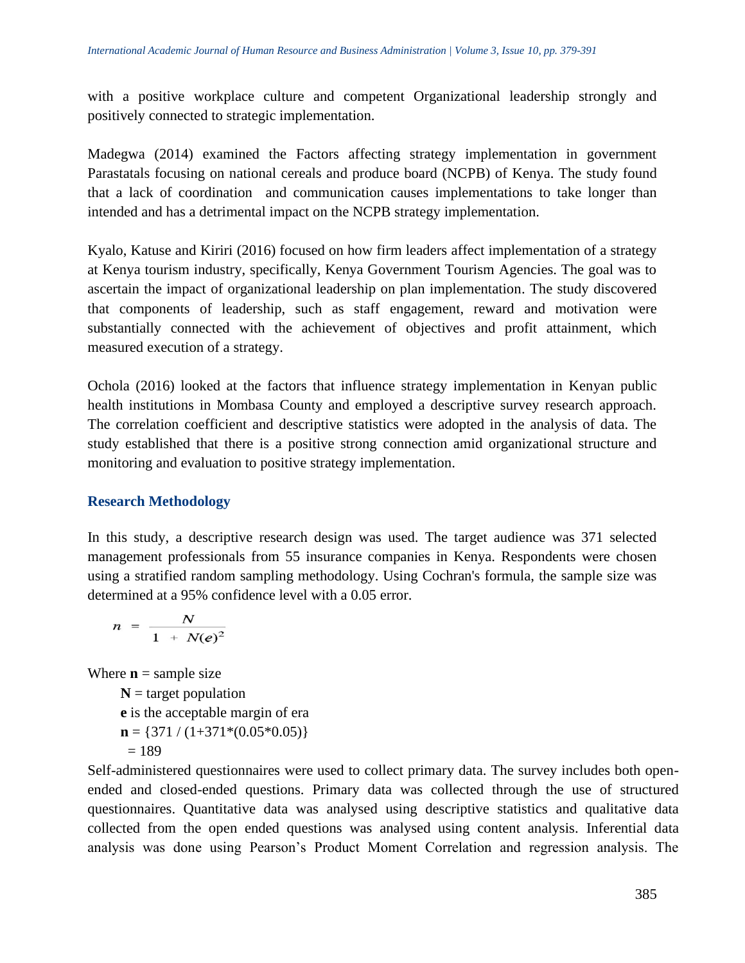with a positive workplace culture and competent Organizational leadership strongly and positively connected to strategic implementation.

Madegwa (2014) examined the Factors affecting strategy implementation in government Parastatals focusing on national cereals and produce board (NCPB) of Kenya. The study found that a lack of coordination and communication causes implementations to take longer than intended and has a detrimental impact on the NCPB strategy implementation.

Kyalo, Katuse and Kiriri (2016) focused on how firm leaders affect implementation of a strategy at Kenya tourism industry, specifically, Kenya Government Tourism Agencies. The goal was to ascertain the impact of organizational leadership on plan implementation. The study discovered that components of leadership, such as staff engagement, reward and motivation were substantially connected with the achievement of objectives and profit attainment, which measured execution of a strategy.

Ochola (2016) looked at the factors that influence strategy implementation in Kenyan public health institutions in Mombasa County and employed a descriptive survey research approach. The correlation coefficient and descriptive statistics were adopted in the analysis of data. The study established that there is a positive strong connection amid organizational structure and monitoring and evaluation to positive strategy implementation.

# **Research Methodology**

In this study, a descriptive research design was used. The target audience was 371 selected management professionals from 55 insurance companies in Kenya. Respondents were chosen using a stratified random sampling methodology. Using Cochran's formula, the sample size was determined at a 95% confidence level with a 0.05 error.

$$
n = \frac{N}{1 + N(e)^2}
$$

Where  $\mathbf{n}$  = sample size

 $N =$  target population **e** is the acceptable margin of era  $\mathbf{n} = \{371 / (1+371*(0.05*0.05))\}$  $= 189$ 

Self-administered questionnaires were used to collect primary data. The survey includes both openended and closed-ended questions. Primary data was collected through the use of structured questionnaires. Quantitative data was analysed using descriptive statistics and qualitative data collected from the open ended questions was analysed using content analysis. Inferential data analysis was done using Pearson's Product Moment Correlation and regression analysis. The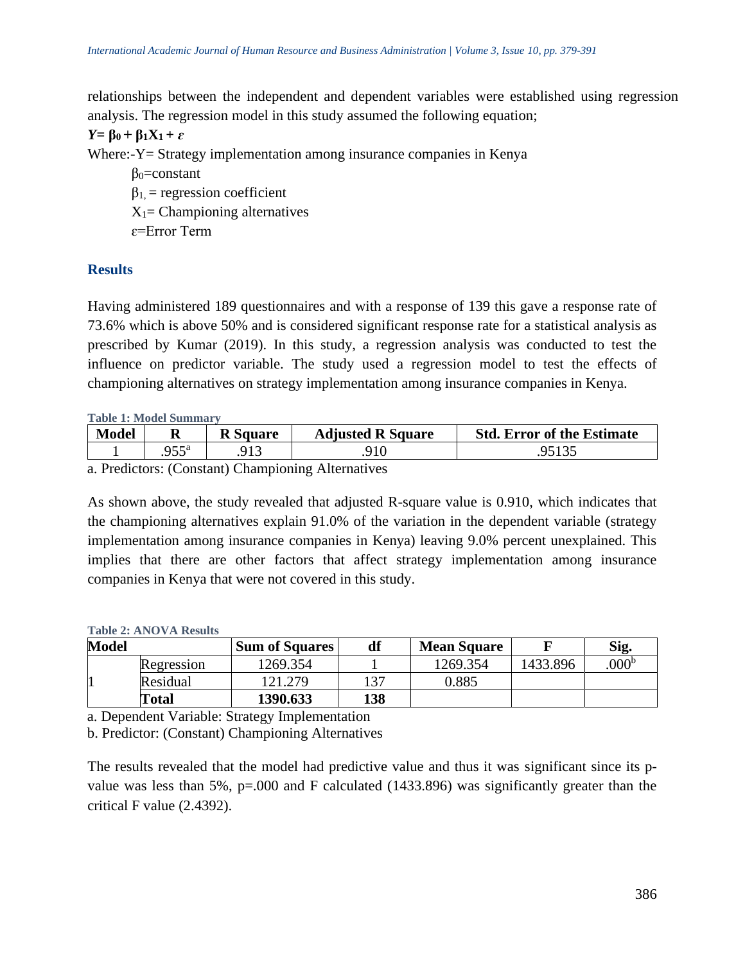relationships between the independent and dependent variables were established using regression analysis. The regression model in this study assumed the following equation;

$$
Y = \beta_0 + \beta_1 X_1 + \varepsilon
$$
  
Where Y = Strategy imlementati

Where:-Y= Strategy implementation among insurance companies in Kenya

 $\beta_0$ =constant  $\beta_1$  = regression coefficient  $X_1$ = Championing alternatives ɛ=Error Term

#### **Results**

Having administered 189 questionnaires and with a response of 139 this gave a response rate of 73.6% which is above 50% and is considered significant response rate for a statistical analysis as prescribed by Kumar (2019). In this study, a regression analysis was conducted to test the influence on predictor variable. The study used a regression model to test the effects of championing alternatives on strategy implementation among insurance companies in Kenya.

**Table 1: Model Summary**

| Model | N   | Square | <b>Adjusted R Square</b> | <b>Std. Error of the Estimate</b> |
|-------|-----|--------|--------------------------|-----------------------------------|
|       |     |        |                          |                                   |
| _ _   | . . | ____   |                          |                                   |

a. Predictors: (Constant) Championing Alternatives

As shown above, the study revealed that adjusted R-square value is 0.910, which indicates that the championing alternatives explain 91.0% of the variation in the dependent variable (strategy implementation among insurance companies in Kenya) leaving 9.0% percent unexplained. This implies that there are other factors that affect strategy implementation among insurance companies in Kenya that were not covered in this study.

#### **Table 2: ANOVA Results**

| <b>Model</b> |              | <b>Sum of Squares</b> | df  | <b>Mean Square</b> |          | Sig.          |
|--------------|--------------|-----------------------|-----|--------------------|----------|---------------|
|              | Regression   | 1269.354              |     | 1269.354           | 1433.896 | $000^{\rm b}$ |
|              | Residual     | 121.279               | 27  | 0.885              |          |               |
|              | <b>Total</b> | 1390.633              | 138 |                    |          |               |

a. Dependent Variable: Strategy Implementation

b. Predictor: (Constant) Championing Alternatives

The results revealed that the model had predictive value and thus it was significant since its pvalue was less than 5%,  $p=0.00$  and F calculated (1433.896) was significantly greater than the critical F value (2.4392).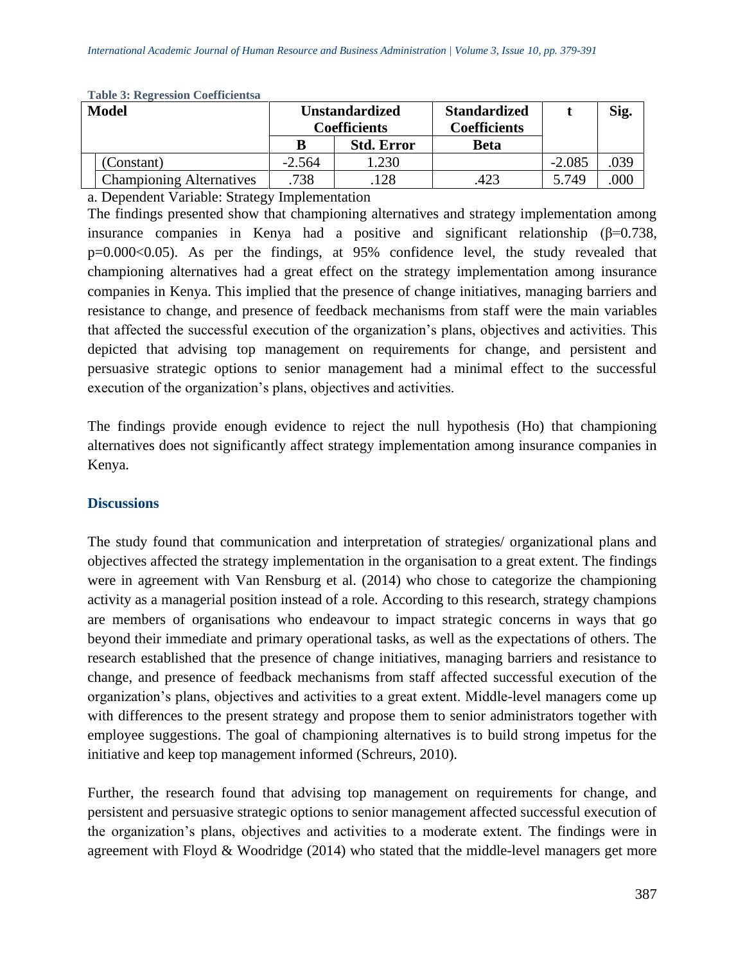| <b>Model</b> |                                 | <b>Unstandardized</b><br><b>Coefficients</b> |                   | <b>Standardized</b><br><b>Coefficients</b> |          | Sig. |
|--------------|---------------------------------|----------------------------------------------|-------------------|--------------------------------------------|----------|------|
|              |                                 |                                              | <b>Std. Error</b> | <b>Beta</b>                                |          |      |
|              | Constant)                       | $-2.564$                                     | .230              |                                            | $-2.085$ | .039 |
|              | <b>Championing Alternatives</b> | .738                                         | 128               | 423                                        | 5.749    | 000  |

**Table 3: Regression Coefficientsa**

a. Dependent Variable: Strategy Implementation

The findings presented show that championing alternatives and strategy implementation among insurance companies in Kenya had a positive and significant relationship ( $\beta$ =0.738, p=0.000<0.05). As per the findings, at 95% confidence level, the study revealed that championing alternatives had a great effect on the strategy implementation among insurance companies in Kenya. This implied that the presence of change initiatives, managing barriers and resistance to change, and presence of feedback mechanisms from staff were the main variables that affected the successful execution of the organization's plans, objectives and activities. This depicted that advising top management on requirements for change, and persistent and persuasive strategic options to senior management had a minimal effect to the successful execution of the organization's plans, objectives and activities.

The findings provide enough evidence to reject the null hypothesis (Ho) that championing alternatives does not significantly affect strategy implementation among insurance companies in Kenya.

#### **Discussions**

The study found that communication and interpretation of strategies/ organizational plans and objectives affected the strategy implementation in the organisation to a great extent. The findings were in agreement with Van Rensburg et al. (2014) who chose to categorize the championing activity as a managerial position instead of a role. According to this research, strategy champions are members of organisations who endeavour to impact strategic concerns in ways that go beyond their immediate and primary operational tasks, as well as the expectations of others. The research established that the presence of change initiatives, managing barriers and resistance to change, and presence of feedback mechanisms from staff affected successful execution of the organization's plans, objectives and activities to a great extent. Middle-level managers come up with differences to the present strategy and propose them to senior administrators together with employee suggestions. The goal of championing alternatives is to build strong impetus for the initiative and keep top management informed (Schreurs, 2010).

Further, the research found that advising top management on requirements for change, and persistent and persuasive strategic options to senior management affected successful execution of the organization's plans, objectives and activities to a moderate extent. The findings were in agreement with Floyd & Woodridge (2014) who stated that the middle-level managers get more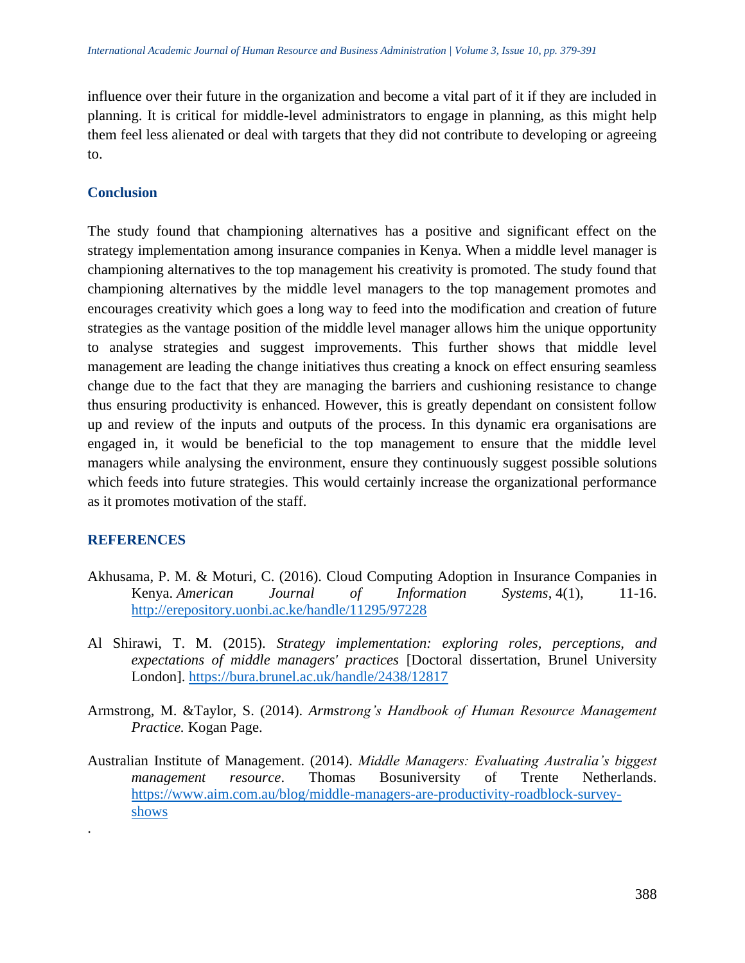influence over their future in the organization and become a vital part of it if they are included in planning. It is critical for middle-level administrators to engage in planning, as this might help them feel less alienated or deal with targets that they did not contribute to developing or agreeing to.

# **Conclusion**

The study found that championing alternatives has a positive and significant effect on the strategy implementation among insurance companies in Kenya. When a middle level manager is championing alternatives to the top management his creativity is promoted. The study found that championing alternatives by the middle level managers to the top management promotes and encourages creativity which goes a long way to feed into the modification and creation of future strategies as the vantage position of the middle level manager allows him the unique opportunity to analyse strategies and suggest improvements. This further shows that middle level management are leading the change initiatives thus creating a knock on effect ensuring seamless change due to the fact that they are managing the barriers and cushioning resistance to change thus ensuring productivity is enhanced. However, this is greatly dependant on consistent follow up and review of the inputs and outputs of the process. In this dynamic era organisations are engaged in, it would be beneficial to the top management to ensure that the middle level managers while analysing the environment, ensure they continuously suggest possible solutions which feeds into future strategies. This would certainly increase the organizational performance as it promotes motivation of the staff.

# **REFERENCES**

.

- Akhusama, P. M. & Moturi, C. (2016). Cloud Computing Adoption in Insurance Companies in Kenya. *American Journal of Information Systems*, 4(1), 11-16. <http://erepository.uonbi.ac.ke/handle/11295/97228>
- Al Shirawi, T. M. (2015). *Strategy implementation: exploring roles, perceptions, and expectations of middle managers' practices* [Doctoral dissertation, Brunel University London].<https://bura.brunel.ac.uk/handle/2438/12817>
- Armstrong, M. &Taylor, S. (2014). *Armstrong's Handbook of Human Resource Management Practice.* Kogan Page.
- Australian Institute of Management. (2014). *Middle Managers: Evaluating Australia's biggest management resource*. Thomas Bosuniversity of Trente Netherlands. [https://www.aim.com.au/blog/middle-managers-are-productivity-roadblock-survey](https://www.aim.com.au/blog/middle-managers-are-productivity-roadblock-survey-shows)[shows](https://www.aim.com.au/blog/middle-managers-are-productivity-roadblock-survey-shows)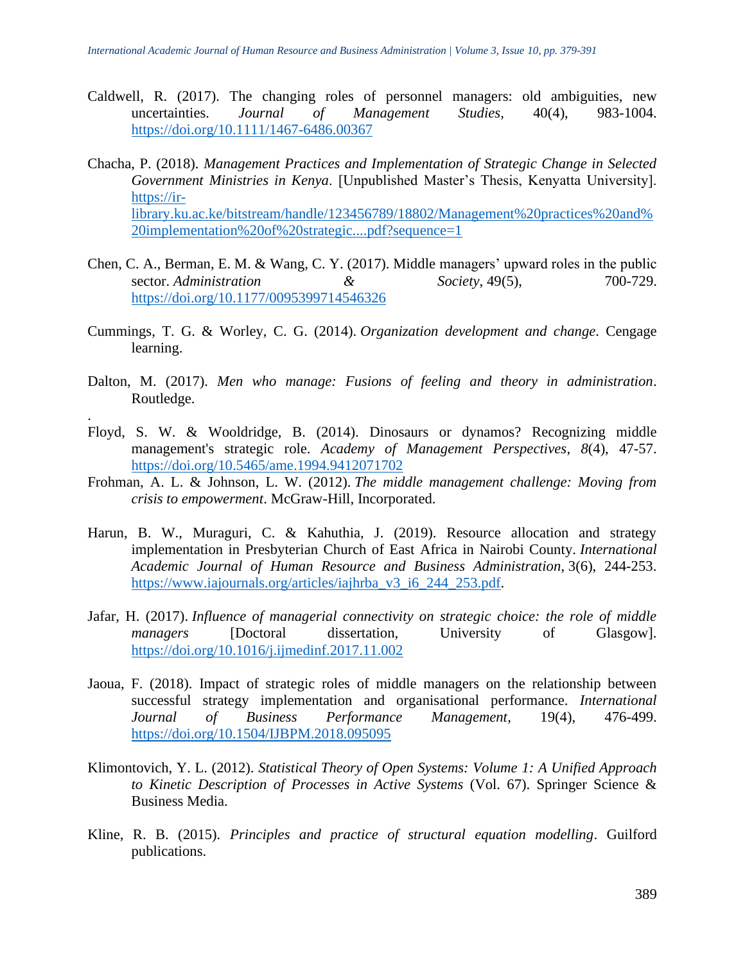- Caldwell, R. (2017). The changing roles of personnel managers: old ambiguities, new uncertainties. *Journal of Management Studies*, 40(4), 983-1004. <https://doi.org/10.1111/1467-6486.00367>
- Chacha, P. (2018). *Management Practices and Implementation of Strategic Change in Selected Government Ministries in Kenya*. [Unpublished Master's Thesis, Kenyatta University]. [https://ir](https://ir-library.ku.ac.ke/bitstream/handle/123456789/18802/Management%20practices%20and%20implementation%20of%20strategic....pdf?sequence=1)[library.ku.ac.ke/bitstream/handle/123456789/18802/Management%20practices%20and%](https://ir-library.ku.ac.ke/bitstream/handle/123456789/18802/Management%20practices%20and%20implementation%20of%20strategic....pdf?sequence=1) [20implementation%20of%20strategic....pdf?sequence=1](https://ir-library.ku.ac.ke/bitstream/handle/123456789/18802/Management%20practices%20and%20implementation%20of%20strategic....pdf?sequence=1)
- Chen, C. A., Berman, E. M. & Wang, C. Y. (2017). Middle managers' upward roles in the public sector. *Administration* & Society, 49(5), 700-729. <https://doi.org/10.1177/0095399714546326>
- Cummings, T. G. & Worley, C. G. (2014). *Organization development and change*. Cengage learning.
- Dalton, M. (2017). *Men who manage: Fusions of feeling and theory in administration*. Routledge.

.

- Floyd, S. W. & Wooldridge, B. (2014). Dinosaurs or dynamos? Recognizing middle management's strategic role. *Academy of Management Perspectives*, *8*(4), 47-57. <https://doi.org/10.5465/ame.1994.9412071702>
- Frohman, A. L. & Johnson, L. W. (2012). *The middle management challenge: Moving from crisis to empowerment*. McGraw-Hill, Incorporated.
- Harun, B. W., Muraguri, C. & Kahuthia, J. (2019). Resource allocation and strategy implementation in Presbyterian Church of East Africa in Nairobi County. *International Academic Journal of Human Resource and Business Administration*, 3(6), 244-253. [https://www.iajournals.org/articles/iajhrba\\_v3\\_i6\\_244\\_253.pdf.](https://www.iajournals.org/articles/iajhrba_v3_i6_244_253.pdf)
- Jafar, H. (2017). *Influence of managerial connectivity on strategic choice: the role of middle managers* [Doctoral dissertation, University of Glasgow]. <https://doi.org/10.1016/j.ijmedinf.2017.11.002>
- Jaoua, F. (2018). Impact of strategic roles of middle managers on the relationship between successful strategy implementation and organisational performance. *International Journal of Business Performance Management*, 19(4), 476-499. <https://doi.org/10.1504/IJBPM.2018.095095>
- Klimontovich, Y. L. (2012). *Statistical Theory of Open Systems: Volume 1: A Unified Approach to Kinetic Description of Processes in Active Systems* (Vol. 67). Springer Science & Business Media.
- Kline, R. B. (2015). *Principles and practice of structural equation modelling*. Guilford publications.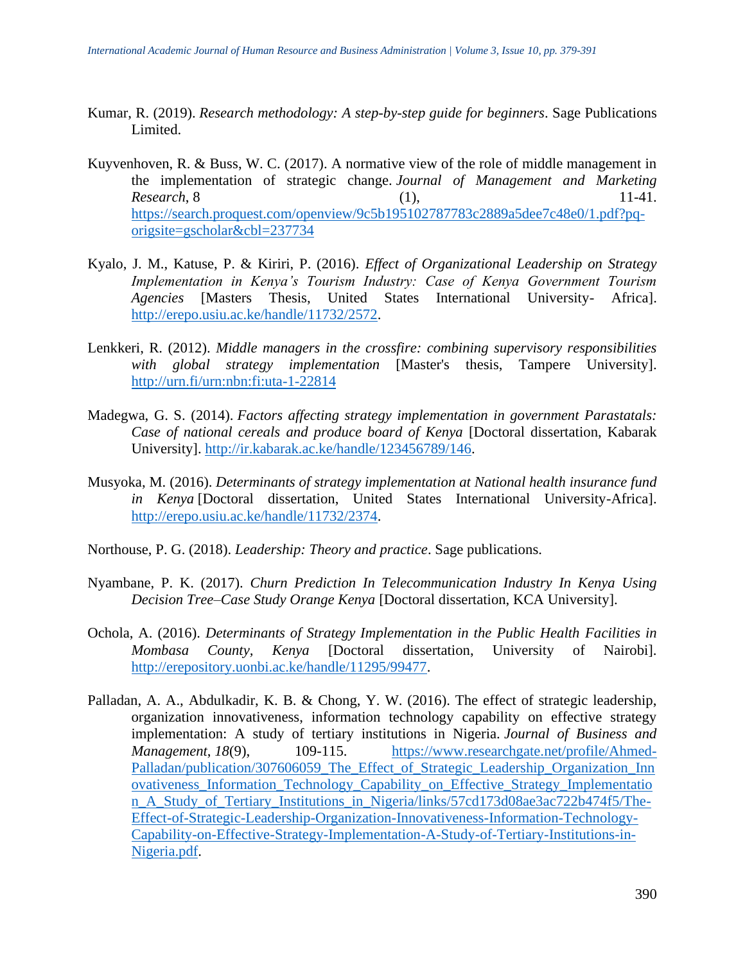- Kumar, R. (2019). *Research methodology: A step-by-step guide for beginners*. Sage Publications Limited.
- Kuyvenhoven, R. & Buss, W. C. (2017). A normative view of the role of middle management in the implementation of strategic change. *Journal of Management and Marketing Research*, 8 (1), 11-41. [https://search.proquest.com/openview/9c5b195102787783c2889a5dee7c48e0/1.pdf?pq](https://search.proquest.com/openview/9c5b195102787783c2889a5dee7c48e0/1.pdf?pq-origsite=gscholar&cbl=237734)[origsite=gscholar&cbl=237734](https://search.proquest.com/openview/9c5b195102787783c2889a5dee7c48e0/1.pdf?pq-origsite=gscholar&cbl=237734)
- Kyalo, J. M., Katuse, P. & Kiriri, P. (2016). *Effect of Organizational Leadership on Strategy Implementation in Kenya's Tourism Industry: Case of Kenya Government Tourism Agencies* [Masters Thesis, United States International University- Africa]. [http://erepo.usiu.ac.ke/handle/11732/2572.](http://erepo.usiu.ac.ke/handle/11732/2572)
- Lenkkeri, R. (2012). *Middle managers in the crossfire: combining supervisory responsibilities with global strategy implementation* [Master's thesis, Tampere University]. <http://urn.fi/urn:nbn:fi:uta-1-22814>
- Madegwa, G. S. (2014). *Factors affecting strategy implementation in government Parastatals: Case of national cereals and produce board of Kenya* [Doctoral dissertation, Kabarak University]. [http://ir.kabarak.ac.ke/handle/123456789/146.](http://ir.kabarak.ac.ke/handle/123456789/146)
- Musyoka, M. (2016). *Determinants of strategy implementation at National health insurance fund in Kenya* [Doctoral dissertation, United States International University-Africa]. [http://erepo.usiu.ac.ke/handle/11732/2374.](http://erepo.usiu.ac.ke/handle/11732/2374)
- Northouse, P. G. (2018). *Leadership: Theory and practice*. Sage publications.
- Nyambane, P. K. (2017). *Churn Prediction In Telecommunication Industry In Kenya Using Decision Tree–Case Study Orange Kenya* [Doctoral dissertation, KCA University].
- Ochola, A. (2016). *Determinants of Strategy Implementation in the Public Health Facilities in Mombasa County, Kenya* [Doctoral dissertation, University of Nairobi]. [http://erepository.uonbi.ac.ke/handle/11295/99477.](http://erepository.uonbi.ac.ke/handle/11295/99477)
- Palladan, A. A., Abdulkadir, K. B. & Chong, Y. W. (2016). The effect of strategic leadership, organization innovativeness, information technology capability on effective strategy implementation: A study of tertiary institutions in Nigeria. *Journal of Business and Management*, 18(9), 109-115. [https://www.researchgate.net/profile/Ahmed-](https://www.researchgate.net/profile/Ahmed-Palladan/publication/307606059_The_Effect_of_Strategic_Leadership_Organization_Innovativeness_Information_Technology_Capability_on_Effective_Strategy_Implementation_A_Study_of_Tertiary_Institutions_in_Nigeria/links/57cd173d08ae3ac722b474f5/The-Effect-of-Strategic-Leadership-Organization-Innovativeness-Information-Technology-Capability-on-Effective-Strategy-Implementation-A-Study-of-Tertiary-Institutions-in-Nigeria.pdf)[Palladan/publication/307606059\\_The\\_Effect\\_of\\_Strategic\\_Leadership\\_Organization\\_Inn](https://www.researchgate.net/profile/Ahmed-Palladan/publication/307606059_The_Effect_of_Strategic_Leadership_Organization_Innovativeness_Information_Technology_Capability_on_Effective_Strategy_Implementation_A_Study_of_Tertiary_Institutions_in_Nigeria/links/57cd173d08ae3ac722b474f5/The-Effect-of-Strategic-Leadership-Organization-Innovativeness-Information-Technology-Capability-on-Effective-Strategy-Implementation-A-Study-of-Tertiary-Institutions-in-Nigeria.pdf) [ovativeness\\_Information\\_Technology\\_Capability\\_on\\_Effective\\_Strategy\\_Implementatio](https://www.researchgate.net/profile/Ahmed-Palladan/publication/307606059_The_Effect_of_Strategic_Leadership_Organization_Innovativeness_Information_Technology_Capability_on_Effective_Strategy_Implementation_A_Study_of_Tertiary_Institutions_in_Nigeria/links/57cd173d08ae3ac722b474f5/The-Effect-of-Strategic-Leadership-Organization-Innovativeness-Information-Technology-Capability-on-Effective-Strategy-Implementation-A-Study-of-Tertiary-Institutions-in-Nigeria.pdf) n A Study of Tertiary Institutions in Nigeria/links/57cd173d08ae3ac722b474f5/The-[Effect-of-Strategic-Leadership-Organization-Innovativeness-Information-Technology-](https://www.researchgate.net/profile/Ahmed-Palladan/publication/307606059_The_Effect_of_Strategic_Leadership_Organization_Innovativeness_Information_Technology_Capability_on_Effective_Strategy_Implementation_A_Study_of_Tertiary_Institutions_in_Nigeria/links/57cd173d08ae3ac722b474f5/The-Effect-of-Strategic-Leadership-Organization-Innovativeness-Information-Technology-Capability-on-Effective-Strategy-Implementation-A-Study-of-Tertiary-Institutions-in-Nigeria.pdf)[Capability-on-Effective-Strategy-Implementation-A-Study-of-Tertiary-Institutions-in-](https://www.researchgate.net/profile/Ahmed-Palladan/publication/307606059_The_Effect_of_Strategic_Leadership_Organization_Innovativeness_Information_Technology_Capability_on_Effective_Strategy_Implementation_A_Study_of_Tertiary_Institutions_in_Nigeria/links/57cd173d08ae3ac722b474f5/The-Effect-of-Strategic-Leadership-Organization-Innovativeness-Information-Technology-Capability-on-Effective-Strategy-Implementation-A-Study-of-Tertiary-Institutions-in-Nigeria.pdf)[Nigeria.pdf.](https://www.researchgate.net/profile/Ahmed-Palladan/publication/307606059_The_Effect_of_Strategic_Leadership_Organization_Innovativeness_Information_Technology_Capability_on_Effective_Strategy_Implementation_A_Study_of_Tertiary_Institutions_in_Nigeria/links/57cd173d08ae3ac722b474f5/The-Effect-of-Strategic-Leadership-Organization-Innovativeness-Information-Technology-Capability-on-Effective-Strategy-Implementation-A-Study-of-Tertiary-Institutions-in-Nigeria.pdf)